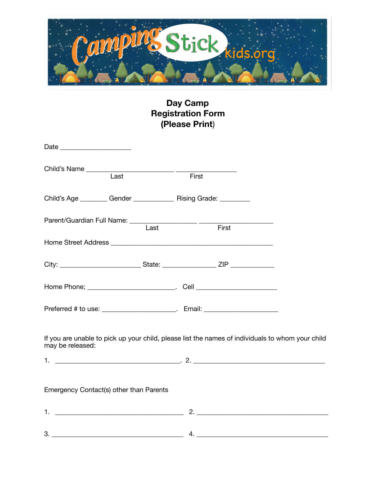

## **Day Camp Registration Form (Please Print**)

| Child's Name Last Figures 2014                                                                                       |  | First |  |
|----------------------------------------------------------------------------------------------------------------------|--|-------|--|
| Child's Age __________ Gender ________________ Rising Grade: __________                                              |  |       |  |
| Parent/Guardian Full Name: Last First                                                                                |  |       |  |
|                                                                                                                      |  |       |  |
|                                                                                                                      |  |       |  |
|                                                                                                                      |  |       |  |
| Preferred # to use: ________________________. Email: ___________________________                                     |  |       |  |
| If you are unable to pick up your child, please list the names of individuals to whom your child<br>may be released: |  |       |  |
|                                                                                                                      |  |       |  |
| Emergency Contact(s) other than Parents                                                                              |  |       |  |
|                                                                                                                      |  |       |  |
| 3.                                                                                                                   |  |       |  |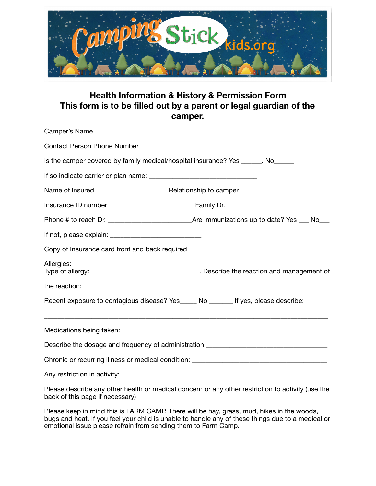

## **Health Information & History & Permission Form This form is to be filled out by a parent or legal guardian of the camper.**

| Is the camper covered by family medical/hospital insurance? Yes _____. No______                            |  |  |  |  |  |
|------------------------------------------------------------------------------------------------------------|--|--|--|--|--|
|                                                                                                            |  |  |  |  |  |
|                                                                                                            |  |  |  |  |  |
|                                                                                                            |  |  |  |  |  |
|                                                                                                            |  |  |  |  |  |
|                                                                                                            |  |  |  |  |  |
| Copy of Insurance card front and back required                                                             |  |  |  |  |  |
| Allergies:<br>Type of allergy: __________________________________. Describe the reaction and management of |  |  |  |  |  |
|                                                                                                            |  |  |  |  |  |
| Recent exposure to contagious disease? Yes_____ No ______ If yes, please describe:                         |  |  |  |  |  |
|                                                                                                            |  |  |  |  |  |
| Describe the dosage and frequency of administration ____________________________                           |  |  |  |  |  |
|                                                                                                            |  |  |  |  |  |
|                                                                                                            |  |  |  |  |  |

Please describe any other health or medical concern or any other restriction to activity (use the back of this page if necessary)

Please keep in mind this is FARM CAMP. There will be hay, grass, mud, hikes in the woods, bugs and heat. If you feel your child is unable to handle any of these things due to a medical or emotional issue please refrain from sending them to Farm Camp.